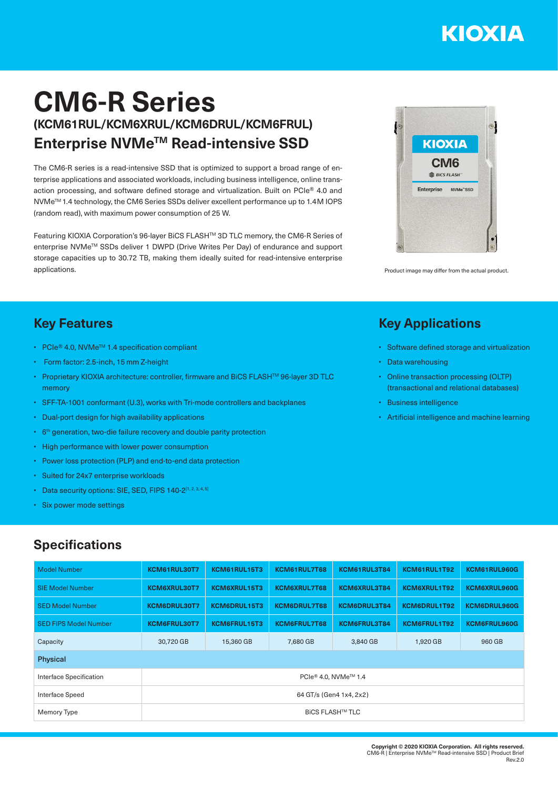# KIOXIA

## **CM6-R Series (KCM61RUL/KCM6XRUL/KCM6DRUL/KCM6FRUL) Enterprise NVMeTM Read-intensive SSD**

The CM6-R series is a read-intensive SSD that is optimized to support a broad range of enterprise applications and associated workloads, including business intelligence, online transaction processing, and software defined storage and virtualization. Built on PCIe® 4.0 and NVMeTM 1.4 technology, the CM6 Series SSDs deliver excellent performance up to 1.4M IOPS (random read), with maximum power consumption of 25 W.

Featuring KIOXIA Corporation's 96-layer BiCS FLASHTM 3D TLC memory, the CM6-R Series of enterprise NVMeTM SSDs deliver 1 DWPD (Drive Writes Per Day) of endurance and support storage capacities up to 30.72 TB, making them ideally suited for read-intensive enterprise applications.



Product image may differ from the actual product.

#### **Key Features**

- PCIe® 4.0, NVMe<sup>™</sup> 1.4 specification compliant
- Form factor: 2.5-inch, 15 mm Z-height
- Proprietary KIOXIA architecture: controller, firmware and BiCS FLASH<sup>TM</sup> 96-layer 3D TLC memory
- SFF-TA-1001 conformant (U.3), works with Tri-mode controllers and backplanes
- Dual-port design for high availability applications
- 6<sup>th</sup> generation, two-die failure recovery and double parity protection
- High performance with lower power consumption
- Power loss protection (PLP) and end-to-end data protection
- Suited for 24x7 enterprise workloads
- Data security options: SIE, SED, FIPS 140-2[1, 2, 3, 4, 5]
- Six power mode settings

#### **Specifications**

| <b>Model Number</b>          | KCM61RUL30T7                                 | KCM61RUL15T3        | KCM61RUL7T68        | KCM61RUL3T84 | KCM61RUL1T92 | KCM61RUL960G        |  |  |  |  |
|------------------------------|----------------------------------------------|---------------------|---------------------|--------------|--------------|---------------------|--|--|--|--|
| <b>SIE Model Number</b>      | <b>KCM6XRUL30T7</b>                          | <b>KCM6XRUL15T3</b> | <b>KCM6XRUL7T68</b> | KCM6XRUL3T84 | KCM6XRUL1T92 | <b>KCM6XRUL960G</b> |  |  |  |  |
| <b>SED Model Number</b>      | <b>KCM6DRUL30T7</b>                          | <b>KCM6DRUL15T3</b> | <b>KCM6DRUL7T68</b> | KCM6DRUL3T84 | KCM6DRUL1T92 | <b>KCM6DRUL960G</b> |  |  |  |  |
| <b>SED FIPS Model Number</b> | <b>KCM6FRUL30T7</b>                          | KCM6FRUL15T3        | <b>KCM6FRUL7T68</b> | KCM6FRUL3T84 | KCM6FRUL1T92 | <b>KCM6FRUL960G</b> |  |  |  |  |
| Capacity                     | 30,720 GB                                    | 15,360 GB           | 7,680 GB            | 3,840 GB     | 1,920 GB     | 960 GB              |  |  |  |  |
| <b>Physical</b>              |                                              |                     |                     |              |              |                     |  |  |  |  |
| Interface Specification      | PCIe <sup>®</sup> 4.0. NVMe <sup>™</sup> 1.4 |                     |                     |              |              |                     |  |  |  |  |
| Interface Speed              | 64 GT/s (Gen4 1x4, 2x2)                      |                     |                     |              |              |                     |  |  |  |  |
| Memory Type                  | <b>BICS FLASH™ TLC</b>                       |                     |                     |              |              |                     |  |  |  |  |

### **Key Applications**

- Software defined storage and virtualization
- Data warehousing
- Online transaction processing (OLTP) (transactional and relational databases)
- Business intelligence
- Artificial intelligence and machine learning